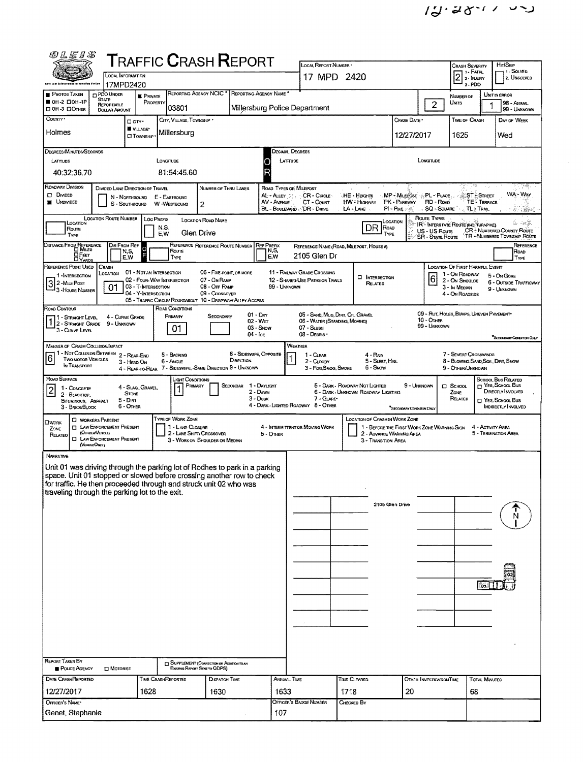$\epsilon_{\rm{eff}}$ 

| @LE1S                                                                                                                                                                                                                                                                                   | <b>T</b> RAFFIC <b>C</b> RASH <b>R</b> EPORT                                                                                                                        |                                                                             |                                                                                      | LOCAL REPORT NUMBER                                                                                                                                                                                              |                                                                                 |                                                                           | Crash Severity                                                                   | HIT/SKIP                                                                                                                                                                          |  |  |  |  |
|-----------------------------------------------------------------------------------------------------------------------------------------------------------------------------------------------------------------------------------------------------------------------------------------|---------------------------------------------------------------------------------------------------------------------------------------------------------------------|-----------------------------------------------------------------------------|--------------------------------------------------------------------------------------|------------------------------------------------------------------------------------------------------------------------------------------------------------------------------------------------------------------|---------------------------------------------------------------------------------|---------------------------------------------------------------------------|----------------------------------------------------------------------------------|-----------------------------------------------------------------------------------------------------------------------------------------------------------------------------------|--|--|--|--|
| LOCAL INFORMATION                                                                                                                                                                                                                                                                       |                                                                                                                                                                     |                                                                             |                                                                                      | 17 MPD 2420                                                                                                                                                                                                      |                                                                                 |                                                                           | 1 - FATAL<br>2<br>2 - INJURY                                                     | i 1 - Solved<br>2. UNSOLVED                                                                                                                                                       |  |  |  |  |
| 17MPD2420<br>PDO UNDER                                                                                                                                                                                                                                                                  |                                                                                                                                                                     | REPORTING AGENCY NCIC * REPORTING AGENCY NAME *                             |                                                                                      |                                                                                                                                                                                                                  |                                                                                 |                                                                           | $3 - PDO$                                                                        |                                                                                                                                                                                   |  |  |  |  |
| <b>PHOTOS TAKEN</b><br><b>STATE</b><br><b>0H-2 0DH-1P</b><br>REPORTABLE<br><b>DON-3 DONER</b><br><b>DOLLAR AMOUNT</b>                                                                                                                                                                   | <b>E</b> PRIVATE<br>PROPERTY<br>03801                                                                                                                               |                                                                             | Millersburg Police Department                                                        |                                                                                                                                                                                                                  |                                                                                 | $\overline{2}$                                                            | NUMBER OF<br>UNITS                                                               | UNIT IN ERROR<br>98 - AMMAL<br>99 - UMKNOWN                                                                                                                                       |  |  |  |  |
| County .<br>□ arv·                                                                                                                                                                                                                                                                      | CITY, VILLAGE, TOWNSHIP *                                                                                                                                           |                                                                             |                                                                                      |                                                                                                                                                                                                                  |                                                                                 | Crash Date*                                                               | <b>TIME OF CRASH</b>                                                             | DAY OF WEEK                                                                                                                                                                       |  |  |  |  |
| <b>W</b> VILLAGE*<br>Holmes                                                                                                                                                                                                                                                             | Millersburg<br><b>CIT</b> OWNSHEP                                                                                                                                   |                                                                             |                                                                                      |                                                                                                                                                                                                                  |                                                                                 | 12/27/2017                                                                | 1625                                                                             | Wed                                                                                                                                                                               |  |  |  |  |
| DEGREES/MINUTES/SECONDS                                                                                                                                                                                                                                                                 |                                                                                                                                                                     |                                                                             | Decimal Degrees                                                                      |                                                                                                                                                                                                                  |                                                                                 |                                                                           |                                                                                  |                                                                                                                                                                                   |  |  |  |  |
| LATITUDE<br>40:32:36.70                                                                                                                                                                                                                                                                 | LONGTUDE<br>81:54:45.60                                                                                                                                             |                                                                             | LATTUDE                                                                              |                                                                                                                                                                                                                  |                                                                                 | LONGITUDE                                                                 |                                                                                  |                                                                                                                                                                                   |  |  |  |  |
| ROADWAY DIVISION<br>DIVIDED LANE DIRECTION OF TRAVEL<br><b>CI</b> DIVIDED<br>N - Northbound<br><b>UNDIVIDED</b><br>S - SOUTHBOUND                                                                                                                                                       | E - EASTBOUND<br>W-WESTBOUND<br>2                                                                                                                                   | NUMBER OF THRU LANES                                                        | ROAD TYPES OR MILEPOST<br>AL-ALLEY SE.<br>AV - AVENUE<br>BL - BOULEVARD - DR - DRIVE | CR - CIRCLE<br>CT - COURT                                                                                                                                                                                        | HE - Herems<br>HW - Highway<br>LA - LANE                                        | MP - MILEPOST :::: PL - PLACE<br>PK - PARKWAY RD - ROAD<br>$PI - P_{URE}$ | ST: Street<br>SQ - SOUARE TL + TRAIL                                             | ?≪.<br>WA - Way<br><b>TE - TERRACE</b><br>$\mathcal{R}_{\mathcal{C}}=\mathcal{R}_{\mathcal{C}}$                                                                                   |  |  |  |  |
| LOCATION ROUTE NUMBER<br>LOCATION<br>Route<br>TYPE                                                                                                                                                                                                                                      | Loc Prefix<br>LOCATION ROAD NAME<br>N,S,<br>Glen Drive<br>E.W                                                                                                       |                                                                             |                                                                                      |                                                                                                                                                                                                                  | <b>OCATION</b><br><b>DR</b><br>ROAD<br>TYPE                                     | Route Types<br>US - US Route                                              | IR - INTERSTATE ROUTE (INC. TURNPIKE)                                            | $\frac{\partial}{\partial \theta} \partial_\theta \phi = - \frac{\partial}{\partial \theta} \partial_\theta \frac{\partial \phi}{\partial \theta},$<br>CR - NUMBERED COUNTY ROUTE |  |  |  |  |
| DISTANCE FROM REFERENCE<br>DIR FROM REF                                                                                                                                                                                                                                                 | Ō                                                                                                                                                                   | REFERENCE REFERENCE ROUTE NUMBER                                            | <b>REF PREFIX</b>                                                                    | REFERENCE NAME (ROAD, MILEPOST, HOUSE #)                                                                                                                                                                         |                                                                                 | <b>SR - STATE ROUTE</b>                                                   |                                                                                  | TR - NUMBERED TOWNSHIP ROUTE<br>REFERENCE                                                                                                                                         |  |  |  |  |
| N,S,<br>⊔Еет<br>E,W<br><b>LIYARDS</b><br>REFERENCE POINT USED<br>Crash                                                                                                                                                                                                                  | Route<br>TYPE                                                                                                                                                       |                                                                             | N,S,<br>E,W                                                                          | 2105 Glen Dr                                                                                                                                                                                                     |                                                                                 |                                                                           | <b>LOCATION OF FIRST HARMFUL EVENT</b>                                           | ROAD<br>Type                                                                                                                                                                      |  |  |  |  |
| LOCATION<br>1 - INTERSECTION<br> 3 <br>2-MILE POST<br>01<br>- 3 - House Number                                                                                                                                                                                                          | 01 - NOT AN INTERSECTION<br>02 - FOUR-WAY INTERSECTION<br>03 - T-INTERSECTION<br>04 - Y-INTERSECTION<br>05 - TRAFFIC CIRCLE/ ROUNDABOUT 10 - DRIVEWAY/ ALLEY ACCESS | 06 - FIVE-POINT, OR MORE<br>07 - On RAMP<br>08 - Off RAMP<br>09 - Crossover | 99 - UNKNOWN                                                                         | 11 - RAILWAY GRADE CROSSING<br>12 - SHARED-USE PATHS OR TRAILS                                                                                                                                                   | <b>D</b> INTERSECTION<br>Related                                                | 6                                                                         | 1 - On ROADWAY<br>2 - ON SHOULDE<br>3 - In MEDIAN<br>4 - ON ROADSIDE             | 5 - On Gore<br>6 - OUTSIDE TRAFFICWAY<br>9 - UNKNOWN                                                                                                                              |  |  |  |  |
| ROAD CONTOUR<br>4 - CURVE GRADE<br>1 - STRAIGHT LEVEL<br>2 - STRAIGHT GRADE<br>9 - Unknown<br>3 - CURVE LEVEL                                                                                                                                                                           | ROAD CONDITIONS<br>PRIMARY<br>01                                                                                                                                    | $01 - Dev$<br>Secondary<br>$02 - WET$<br>$03 -$ SNOW<br>04 - Ice            |                                                                                      | 05 - SAND, MUD, DIRT, OIL GRAVEL<br>05 - WATER (STANDING, MOVING)<br>07 - SLUSH<br>08 - DEBRIS *                                                                                                                 |                                                                                 | 10 - Other<br>99 - Uniknown                                               | 09 - Rut, HOLES, BUMPS, UNEVEN PAVEMENT                                          |                                                                                                                                                                                   |  |  |  |  |
| MANNER OF CRASH COLLISION/IMPACT<br>1 - Not Collision Between 2 ~ Rear-End                                                                                                                                                                                                              |                                                                                                                                                                     |                                                                             | WEATHER                                                                              |                                                                                                                                                                                                                  |                                                                                 |                                                                           |                                                                                  | "SECONDARY CONDITION ONLY                                                                                                                                                         |  |  |  |  |
| 6<br><b>TWO MOTOR VEHICLES</b><br>3 - HEAD-ON<br>IN TRANSPORT                                                                                                                                                                                                                           | 5 - BACKING<br>6 - ANGLE<br>4 - REAR-TO-REAR 7 - SIDESWIPE, -SAME DIRECTION 9 - UNKNOWN                                                                             | 8 - Sideswipe, Opposite<br>DIRECTION                                        |                                                                                      | 1 - CLEAR<br>2 - CLOUDY<br>3 - Fog.Smog. Smoke                                                                                                                                                                   | 4 - Rain<br>5 - SLEET, HAIL<br>6 - Snow                                         |                                                                           | 7 - SEVERE CROSSWINDS<br>8 - BLOWING SAND, SOIL, DIRT, SNOW<br>9 - OTHER/UNKNOWN |                                                                                                                                                                                   |  |  |  |  |
| ROAD SURFACE                                                                                                                                                                                                                                                                            | Light Conditions<br>PRIMARY                                                                                                                                         | Secondar                                                                    | 1 - DAYLIGHT                                                                         |                                                                                                                                                                                                                  | 5 - DARK - ROADWAY NOT LIGHTED                                                  | 9 - UNKNOWN                                                               | $\square$ School                                                                 | SCHOOL BUS RELATED<br>$\Box$ Yes, School Bus                                                                                                                                      |  |  |  |  |
| 4 - SLAG, GRAVEL<br>$\overline{\mathbf{c}}$<br>1 - CONCRETE<br><b>STONE</b><br>2 - BLACKTOP,<br>$5 - D$ <sub>IRT</sub><br>BITUMINOUS, ASPHALT<br>6 - Omen<br>3 - BRICK/BLOCK                                                                                                            |                                                                                                                                                                     | 2 - DAWN<br>3 - Dusk                                                        |                                                                                      | DIRECTLY INVOLVED<br>6 - DARK - UMONOWN ROADWAY LIGHTING<br>ZONE<br>7 - GLARE<br>RELATED<br>□ YES, SCHOOL Bus<br>4 - DARK - LIGHTED ROADWAY 8 - OTHER<br><b>INDIRECTLY INVOLVED</b><br>"SECONDARY CONDITION ONLY |                                                                                 |                                                                           |                                                                                  |                                                                                                                                                                                   |  |  |  |  |
| <b>C WORKERS PRESENT</b><br><b>OWORK</b><br><b>D</b> LAW ENFORCEMENT PRESENT<br>ZONE<br>(Orricus/Vencue)<br>RELATED<br><b>I LAW ENFORCEMENT PRESENT</b><br>(VEHOLEONLY)                                                                                                                 | TYPE OF WORK ZONE<br>1-LANE CLOSURE<br>2 - LANE SHIFT/ CROSSOVER<br>3 - WORK ON SHOULDER OR MEDIAN                                                                  |                                                                             | 4 INTERMITTENT OR MOVING WORK<br>$5 -$ Omer                                          |                                                                                                                                                                                                                  | LOCATION OF CRASH IN WORK ZONE<br>2 - ADVANCE WARNING AREA<br>3 - Transmon Area | 1 - BEFORE THE FIRST WORK ZONE WARNING SIGN                               |                                                                                  | 4 - ACTIVITY AREA<br>5 - TERMINATION AREA                                                                                                                                         |  |  |  |  |
| NARRATIVE<br>Unit 01 was driving through the parking lot of Rodhes to park in a parking<br>space. Unit 01 stopped or slowed before crossing another row to check<br>for traffic. He then proceeded through and struck unit 02 who was<br>traveling through the parking lot to the exit. |                                                                                                                                                                     |                                                                             |                                                                                      |                                                                                                                                                                                                                  |                                                                                 |                                                                           |                                                                                  |                                                                                                                                                                                   |  |  |  |  |
|                                                                                                                                                                                                                                                                                         |                                                                                                                                                                     |                                                                             |                                                                                      |                                                                                                                                                                                                                  | 2105 Glen Drive                                                                 |                                                                           |                                                                                  |                                                                                                                                                                                   |  |  |  |  |
|                                                                                                                                                                                                                                                                                         |                                                                                                                                                                     |                                                                             |                                                                                      |                                                                                                                                                                                                                  |                                                                                 |                                                                           |                                                                                  | 109,                                                                                                                                                                              |  |  |  |  |
|                                                                                                                                                                                                                                                                                         |                                                                                                                                                                     |                                                                             |                                                                                      |                                                                                                                                                                                                                  |                                                                                 |                                                                           |                                                                                  |                                                                                                                                                                                   |  |  |  |  |
| <b>REPORT TAKEN BY</b>                                                                                                                                                                                                                                                                  |                                                                                                                                                                     |                                                                             |                                                                                      |                                                                                                                                                                                                                  |                                                                                 |                                                                           |                                                                                  |                                                                                                                                                                                   |  |  |  |  |
| <b>POLICE AGENCY</b><br><b>D</b> MOTORIST                                                                                                                                                                                                                                               | Existing Report Seat to ODPS)                                                                                                                                       | <b>BUPPLEMENT (CORRECTION OR ADDITION TO AV</b>                             |                                                                                      |                                                                                                                                                                                                                  |                                                                                 |                                                                           |                                                                                  |                                                                                                                                                                                   |  |  |  |  |
| DATE CRASHREPORTED                                                                                                                                                                                                                                                                      | <b>TIME CRASHREPORTED</b>                                                                                                                                           | <b>DISPATCH TIME</b>                                                        | ARRIVAL TIME                                                                         |                                                                                                                                                                                                                  | TIME CLEARED                                                                    | OTHER INVESTIGATION TIME                                                  |                                                                                  | <b>TOTAL MINUTES</b>                                                                                                                                                              |  |  |  |  |
| 12/27/2017<br>OFFICER'S NAME*                                                                                                                                                                                                                                                           | 1628                                                                                                                                                                | 1630                                                                        | 1633                                                                                 | OFFICER'S BADGE NUMBER                                                                                                                                                                                           | 1718<br>CHECKED BY                                                              | 20                                                                        | 68                                                                               |                                                                                                                                                                                   |  |  |  |  |
| Genet, Stephanie                                                                                                                                                                                                                                                                        |                                                                                                                                                                     |                                                                             | 107                                                                                  |                                                                                                                                                                                                                  |                                                                                 |                                                                           |                                                                                  |                                                                                                                                                                                   |  |  |  |  |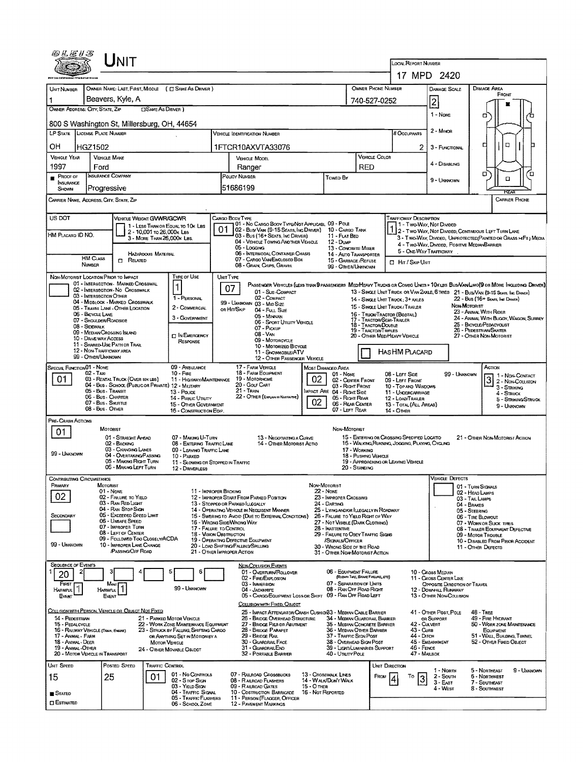| @LE13                                                                                                                                                        |                                                                                                            | JNIT                                                                  |                            |                                                                                |           |                                                                                                  |                   |                                                                            |                                                                                              |                                                          |                                                                                   |                                                          |                                      |                                                                                                                              |  |  |  |
|--------------------------------------------------------------------------------------------------------------------------------------------------------------|------------------------------------------------------------------------------------------------------------|-----------------------------------------------------------------------|----------------------------|--------------------------------------------------------------------------------|-----------|--------------------------------------------------------------------------------------------------|-------------------|----------------------------------------------------------------------------|----------------------------------------------------------------------------------------------|----------------------------------------------------------|-----------------------------------------------------------------------------------|----------------------------------------------------------|--------------------------------------|------------------------------------------------------------------------------------------------------------------------------|--|--|--|
|                                                                                                                                                              |                                                                                                            |                                                                       |                            |                                                                                |           |                                                                                                  |                   |                                                                            |                                                                                              |                                                          | <b>LOCAL REPORT NUMBER</b>                                                        |                                                          |                                      |                                                                                                                              |  |  |  |
|                                                                                                                                                              |                                                                                                            |                                                                       |                            |                                                                                |           |                                                                                                  |                   |                                                                            |                                                                                              |                                                          |                                                                                   | 17 MPD 2420                                              |                                      |                                                                                                                              |  |  |  |
| UNIT NUMBER                                                                                                                                                  |                                                                                                            |                                                                       |                            | OWNER NAME: LAST, FIRST, MIDDLE ( C SAME AS DRIVER )                           |           |                                                                                                  |                   |                                                                            |                                                                                              | <b>OWNER PHONE NUMBER</b>                                |                                                                                   | <b>DAMAGE SCALE</b>                                      |                                      | DAMAGE AREA<br>FRONT                                                                                                         |  |  |  |
|                                                                                                                                                              |                                                                                                            | Beavers, Kyle, A                                                      | <b>CISAME AS DRIVER 1</b>  |                                                                                |           |                                                                                                  |                   |                                                                            |                                                                                              | 740-527-0252                                             |                                                                                   | 2                                                        |                                      |                                                                                                                              |  |  |  |
| OWNER ADDRESS: CITY, STATE, ZIP                                                                                                                              |                                                                                                            |                                                                       |                            |                                                                                |           |                                                                                                  |                   |                                                                            |                                                                                              |                                                          |                                                                                   | 1 - Nove                                                 |                                      | о                                                                                                                            |  |  |  |
| 800 S Washington St, Millersburg, OH, 44654                                                                                                                  |                                                                                                            |                                                                       |                            |                                                                                |           |                                                                                                  |                   |                                                                            |                                                                                              |                                                          |                                                                                   | 2 - Minoa                                                |                                      |                                                                                                                              |  |  |  |
| <b>LP STATE</b><br>LICENSE PLATE NUMBER<br><b>VEHICLE IDENTIFICATION NUMBER</b>                                                                              |                                                                                                            |                                                                       |                            |                                                                                |           |                                                                                                  |                   |                                                                            |                                                                                              |                                                          | <b>BOCCUPANTS</b>                                                                 |                                                          |                                      |                                                                                                                              |  |  |  |
| ОH<br>HGZ1502<br>1FTCR10AXVTA33076                                                                                                                           |                                                                                                            |                                                                       |                            |                                                                                |           |                                                                                                  |                   |                                                                            |                                                                                              |                                                          | 2                                                                                 | 3 - FUNCTIONAL                                           |                                      | $\Box$<br>□                                                                                                                  |  |  |  |
| <b>VEHICLE YEAR</b>                                                                                                                                          | <b>VEHICLE MAKE</b>                                                                                        |                                                                       |                            |                                                                                |           | VEHICLE MODEL                                                                                    |                   |                                                                            |                                                                                              | VEHICLE COLOR                                            | 4 - DISABLING                                                                     |                                                          |                                      |                                                                                                                              |  |  |  |
| 1997                                                                                                                                                         | Ford<br><b>INSURANCE COMPANY</b>                                                                           |                                                                       |                            |                                                                                |           | RED<br>Ranger<br>POLICY NUMBER<br>Towed By                                                       |                   |                                                                            |                                                                                              |                                                          |                                                                                   |                                                          |                                      | σ<br>'n                                                                                                                      |  |  |  |
| PROOF OF<br>INSURANCE                                                                                                                                        |                                                                                                            |                                                                       |                            |                                                                                |           |                                                                                                  |                   |                                                                            | 9 - Unignown                                                                                 |                                                          | ۰                                                                                 |                                                          |                                      |                                                                                                                              |  |  |  |
| SHOWN                                                                                                                                                        | Progressive                                                                                                |                                                                       |                            |                                                                                |           | 51686199                                                                                         |                   |                                                                            |                                                                                              |                                                          |                                                                                   |                                                          |                                      | <b>REAT</b>                                                                                                                  |  |  |  |
| Carrier Name, Address, City, State, Zip                                                                                                                      |                                                                                                            |                                                                       |                            |                                                                                |           |                                                                                                  |                   |                                                                            |                                                                                              |                                                          |                                                                                   |                                                          |                                      | <b>CARRIER PHONE</b>                                                                                                         |  |  |  |
| US DOT                                                                                                                                                       |                                                                                                            | VEHICLE WEIGHT GWWR/GCWR                                              |                            |                                                                                |           | CARGO BODY TYPE                                                                                  |                   |                                                                            |                                                                                              |                                                          | <b>TRAFFICWAY DESCRIPTION</b>                                                     |                                                          |                                      |                                                                                                                              |  |  |  |
|                                                                                                                                                              |                                                                                                            |                                                                       | 2 - 10,001 to 26,000x Les  | 1 - LESS THAN OR EQUAL TO 10K LBS                                              | 01        | 01 - No CARGO BODY TYPE/NOT APPLICABL 09 - POLE<br>02 - Bus/Van (9-15 Seats, Inc Driver)         |                   | 10 - CARGO TANK                                                            |                                                                                              |                                                          | 1 - Two-Way, Not Divided<br>1 2 - Two-Way, Not Divided, Continuous LEFT TURN LANE |                                                          |                                      |                                                                                                                              |  |  |  |
| HM Placard ID NO.                                                                                                                                            |                                                                                                            |                                                                       | 3 - MORE THAN 26,000K LBS. |                                                                                |           | 03 - Bus (16+ Seats, Inc Driver)<br>04 - VEHICLE TOWING ANOTHER VEHICLE                          |                   | 11 - FLAT BED<br>12 - Duse                                                 |                                                                                              |                                                          |                                                                                   | 4 - Two-Way, Divided, Positive Median Barrier            |                                      | 3 - Two-WAY, DIVIDED, UNPROTECTED (PAINTED OR GRASS > FT.) MEDIA                                                             |  |  |  |
|                                                                                                                                                              |                                                                                                            |                                                                       | <b>HAZARDOUS MATERIAL</b>  |                                                                                |           | 05 - Locging<br>06 - INTERMODAL CONTAINER CHASIS                                                 |                   | 13 - CONCRETE MIXER<br>14 - AUTO TRANSPORTER                               |                                                                                              |                                                          |                                                                                   | 5 - ONE-WAY TRAFFICWAY                                   |                                      |                                                                                                                              |  |  |  |
|                                                                                                                                                              | <b>HM CLASS</b><br><b>NUMBER</b>                                                                           | $\Box$ Related                                                        |                            |                                                                                |           | 07 - CARGO VAN ENCLOSED BOX<br>08 - GRAIN, CHIPS, GRAVEL                                         |                   | 15 - GARBAGE REFUSE<br>99 - OTHER/UNKNOWN                                  |                                                                                              |                                                          | <b>D. Hr / Skip Unit</b>                                                          |                                                          |                                      |                                                                                                                              |  |  |  |
| NON-MOTORIST LOCATION PRIOR TO IMPACT                                                                                                                        |                                                                                                            |                                                                       |                            | Type of Use                                                                    | UNIT TYPE |                                                                                                  |                   |                                                                            |                                                                                              |                                                          |                                                                                   |                                                          |                                      |                                                                                                                              |  |  |  |
|                                                                                                                                                              |                                                                                                            | 01 - INTERSECTION MARKED CROSSWAL<br>02 - INTERSECTION NO CROSSWALK   |                            | 1                                                                              |           | 07                                                                                               |                   |                                                                            |                                                                                              |                                                          |                                                                                   |                                                          |                                      | PASSENGER VEHICLES (LESS THAN BPASSENGERS MEDIMEAVY TRUCKS OR COMBO UNITS > 10K LBS BUS/VAN/LIMO(D OR MORE INCLUDING DRIVER) |  |  |  |
|                                                                                                                                                              | 03 - INTERSECTION OTHER                                                                                    |                                                                       |                            | 1 - PERSONAL                                                                   |           | 01 - Sub-COMPACT<br>02 - COMPACT                                                                 |                   |                                                                            |                                                                                              | 14 - SINGLE UNIT TRUCK: 3+ AXLES                         |                                                                                   |                                                          |                                      | 13 - SINGLE UNIT TRUCK OR VAN ZAXLE, 6 TIRES 21 - BUS/VAN (9-15 SEATS, INC DRIVER)<br>22 - Bus (16+ Seats, Inc Driver)       |  |  |  |
|                                                                                                                                                              |                                                                                                            | 04 - MIDBLOCK - MARKED CROSSWALK<br>05 - Travel LANE - OTHER LOCATION |                            | 2 - COMMERCIAL                                                                 |           | 99 - UNKNOWN 03 - MID SIZE<br>OR HIT/SKIP<br>04 - Futt Size                                      |                   |                                                                            |                                                                                              | 15 - SINGLE UNIT TRUCK/TRAILER                           |                                                                                   |                                                          | <b>NON-MOTORIST</b>                  | 23 - ANIMAL WITH RIDER                                                                                                       |  |  |  |
|                                                                                                                                                              | 06 - BICYCLE LANE<br>07 - Shoutber/Roadside                                                                |                                                                       |                            | 3 - GOVERNMENT                                                                 |           | 05 - MINIVAN<br>06 - Sport Utility Vehicle                                                       |                   |                                                                            |                                                                                              | 16 - Truck/Tractor (Bobtal)<br>17 - TRACTOR/SEMI-TRAILER |                                                                                   |                                                          |                                      | 24 - ANIMAL WITH BUGGY, WAGON, SURREY                                                                                        |  |  |  |
|                                                                                                                                                              | 18 - TRACTOR/DOUBLE<br>08 - SIDEWALK<br>07 - Pickup<br>19 - Tractor/Triples<br>09 - MEDIAN CROSSING ISLAND |                                                                       |                            |                                                                                |           |                                                                                                  |                   |                                                                            |                                                                                              |                                                          |                                                                                   |                                                          |                                      | 25 - BICYCLE/PEDACYCLIST<br>26 - PEDESTRIAN/SKATER                                                                           |  |  |  |
| 08 - VAN<br><b>IT IN EMERGENCY</b><br>10 - Druve way Access<br>09 - MOTORCYCLE<br><b>RESPONSE</b><br>11 - SHARED USE PATH OR TRAIL<br>10 - MOTORIZED BICYCLE |                                                                                                            |                                                                       |                            |                                                                                |           |                                                                                                  |                   |                                                                            |                                                                                              | 27 - OTHER NON-MOTORIST<br>20 - OTHER MEDIHEAVY VEHICLE  |                                                                                   |                                                          |                                      |                                                                                                                              |  |  |  |
|                                                                                                                                                              | 12 - NON-TRAFFICWAY AREA<br>99 - OTHER/UNKNOWN                                                             |                                                                       |                            |                                                                                |           | 11 - SNOWMOBILE/ATV                                                                              |                   |                                                                            |                                                                                              | Has HM Placard                                           |                                                                                   |                                                          |                                      |                                                                                                                              |  |  |  |
| SPECIAL FUNCTION 01 - NOME                                                                                                                                   |                                                                                                            |                                                                       |                            | 09 - AMBULANCE                                                                 |           | 12 - OTHER PASSENGER VEHICLE<br>17 - FARM VEHICLE                                                |                   | MOST DAMAGED AREA                                                          |                                                                                              |                                                          |                                                                                   |                                                          |                                      | ACTION                                                                                                                       |  |  |  |
| 01                                                                                                                                                           | $02 - T_{AV}$                                                                                              | 03 - RENTAL TRUCK (OVER 10K LBS)                                      |                            | $10 -$ Fine<br>11 - HIGHWAY/MAINTENANCE                                        |           | <b>18 - FARM EQUIPMENT</b><br>19 - MOTORHOME                                                     | 02                | 01 - None<br>02 - CENTER FRONT                                             |                                                                                              | 08 - LEFT SIDE<br>09 - LEFT FRONT                        |                                                                                   | 99 - UNKNOWN                                             |                                      | 1 - NON-CONTACT                                                                                                              |  |  |  |
|                                                                                                                                                              | 05 - Bus - Transit                                                                                         |                                                                       |                            | 04 - Bus - SCHOOL (PUBLIC OR PRIVATE) 12 - MILITARY<br>13 - Pouce              |           | 20 - Gour CART<br>21 - TRAIN                                                                     |                   | 03 - Right Front<br>MPACT ARE 04 - RIGHT SIDE                              |                                                                                              |                                                          | 10 - TOP AND WINDOWS                                                              |                                                          |                                      | $3\frac{1}{2}$ - Non-Coursion<br>3 - STRIKING                                                                                |  |  |  |
|                                                                                                                                                              | 06 - Bus - Charter<br>07 - Bus - SHUTTLE                                                                   |                                                                       |                            | 14 - Pueuc Unury                                                               |           | 22 - OTHER (EXPLAN IN NARRATIVE)                                                                 | 02                | 05 - Right Rear                                                            |                                                                                              | 11 - UNDERCARRIAGE<br>12 - LOAD/TRAILER                  |                                                                                   |                                                          |                                      | 4 - STRUCK<br>5 - STRIKING/STRUCK                                                                                            |  |  |  |
|                                                                                                                                                              | 08 - Bus - OTHER                                                                                           |                                                                       |                            | 15 - OTHER GOVERNMENT<br>16 - CONSTRUCTION EQIP.                               |           |                                                                                                  |                   | 06 - REAR CEMER<br>07 - LEFT REAR                                          |                                                                                              | 14 - OTHER                                               | 13 - TOTAL (ALL AREAS)                                                            |                                                          |                                      | 9 - Unknown                                                                                                                  |  |  |  |
| PRE-CRASH ACTIONS                                                                                                                                            |                                                                                                            |                                                                       |                            |                                                                                |           |                                                                                                  |                   |                                                                            |                                                                                              |                                                          |                                                                                   |                                                          |                                      |                                                                                                                              |  |  |  |
| 01                                                                                                                                                           | MOTORIST                                                                                                   | 01 - STRAIGHT AHEAD                                                   |                            | 07 - MAKING U-TURN                                                             |           | 13 - Negotiating a Curve                                                                         |                   | Non-Moronist                                                               |                                                                                              | 15 - ENTERING OR CROSSING SPECIFIED LOCATIO              |                                                                                   |                                                          |                                      | 21 - OTHER NON-MOTORIST ACTION                                                                                               |  |  |  |
|                                                                                                                                                              |                                                                                                            | 02 - BACKING<br>03 - CHANGING LANES                                   |                            | 08 - ENTERING TRAFFIC LANE<br>09 - LEAVING TRAFFIC LANE                        |           | 14 - OTHER MOTORIST ACTIO                                                                        | 17 - Working      |                                                                            | 16 - WALKING RUMMING, JOGGING, PLAYING, CYCLING                                              |                                                          |                                                                                   |                                                          |                                      |                                                                                                                              |  |  |  |
| 99 - UNKNOWN                                                                                                                                                 |                                                                                                            | 04 - OVERTAKING/PASSING<br>05 - MAKING RIGHT TURN                     |                            | 10 - PARKED                                                                    |           |                                                                                                  |                   |                                                                            | 18 - Pushing VEHICLE                                                                         |                                                          | 19 - APPROACHING OR LEAVING VEHICLE                                               |                                                          |                                      |                                                                                                                              |  |  |  |
|                                                                                                                                                              |                                                                                                            | 06 - MAKING LEFT TURN                                                 |                            | 11 - SLOWING OR STOPPED IN TRAFFIC<br>12 - DRIVERLESS                          |           |                                                                                                  |                   |                                                                            | 20 - STANDING                                                                                |                                                          |                                                                                   |                                                          |                                      |                                                                                                                              |  |  |  |
| <b>CONTRIBUTING CIRCUMSTANCE</b>                                                                                                                             |                                                                                                            |                                                                       |                            |                                                                                |           |                                                                                                  |                   |                                                                            |                                                                                              |                                                          |                                                                                   | <b>VEHICLE DEFECTS</b>                                   |                                      |                                                                                                                              |  |  |  |
| PRIMARY                                                                                                                                                      | MOTORIST<br>$01 - \text{Now}$                                                                              |                                                                       |                            | 11 - IMPROPER BACKING                                                          |           |                                                                                                  |                   | Non-Motorist<br><b>22 - NONE</b>                                           |                                                                                              |                                                          |                                                                                   |                                                          | 01 - TURN SIGNALS<br>02 - HEAD LAMPS |                                                                                                                              |  |  |  |
| 02                                                                                                                                                           |                                                                                                            | 02 - FAILURE TO YIELD<br>03 - RAN RED LIGHT                           |                            |                                                                                |           | 12 - IMPROPER START FROM PARKED POSITION<br>13 - Stopped or Parked Luegally                      |                   | 23 - IMPROPER CROSSING<br>24 - DARTING                                     |                                                                                              |                                                          |                                                                                   |                                                          | 03 - TAIL LAMPS<br>04 - BRAKES       |                                                                                                                              |  |  |  |
| SECONDARY                                                                                                                                                    |                                                                                                            | 04 - RAN STOP SIGN<br>05 - Exceeded Speed Limit                       |                            |                                                                                |           | 14 - Operating Vehicle in Negligent Manner<br>15 - SWERING TO AVOID (DUE TO EXTERNAL CONDITIONS) |                   | 25 - LYING AND/OR LLEGALLY IN ROADWAY<br>26 - FALURE TO YIELD RIGHT OF WAY |                                                                                              |                                                          |                                                                                   |                                                          | 05 - STEERING<br>06 - TIRE BLOWOUT   |                                                                                                                              |  |  |  |
|                                                                                                                                                              |                                                                                                            | 06 - UNSAFE SPEED<br>07 - IMPROPER TURN                               |                            | 17 - FALURE TO CONTROL                                                         |           | 16 - WRONG SIDEAVRONG WAY                                                                        |                   | 27 - Not Visible (DARK CLOTHING)<br>28 - INATTENTIVE                       |                                                                                              |                                                          |                                                                                   |                                                          |                                      | 07 - WORN OR SUCK TIRES                                                                                                      |  |  |  |
|                                                                                                                                                              |                                                                                                            | 08 - LEFT OF CENTER<br>09 - FOLLOWED TOO CLOSELY/ACDA                 |                            | <b>18 - VISION OBSTRUCTION</b>                                                 |           | 19 - OPERATING DEFECTIVE EQUIPMENT                                                               |                   | /SIGNALS/OFFICER                                                           | 08 - TRAILER EOUIPMENT DEFECTIVE<br>29 - FAILURE TO OBEY TRAFFIC SIGNS<br>09 - MOTOR TROUBLE |                                                          |                                                                                   |                                                          |                                      |                                                                                                                              |  |  |  |
| 99 - Unknown                                                                                                                                                 |                                                                                                            | 10 - IMPROPER LANE CHANGE<br><b>PASSING OFF ROAD</b>                  |                            |                                                                                |           | 20 - LOAD SHIFTING/FALLING/SPILLING                                                              |                   | 30 - WRONG SIDE OF THE ROAD                                                |                                                                                              |                                                          |                                                                                   |                                                          | 11 - OTHER DEFECTS                   | 10 - DISABLED FROM PRIOR ACCIDENT                                                                                            |  |  |  |
|                                                                                                                                                              |                                                                                                            |                                                                       |                            |                                                                                |           | 21 - OTHER IMPROPER ACTION                                                                       |                   | 31 - OTHER NON-MOTORIST ACTION                                             |                                                                                              |                                                          |                                                                                   |                                                          |                                      |                                                                                                                              |  |  |  |
| <b>SEQUENCE OF EVENTS</b><br>2<br>20                                                                                                                         |                                                                                                            |                                                                       |                            | 6                                                                              |           | <b>NON-COLLISION EVENTS</b><br>01 - Overturn/Rollover                                            |                   | 06 - EQUIPMENT FAILURE                                                     |                                                                                              |                                                          |                                                                                   | 10 - Cross Median                                        |                                      |                                                                                                                              |  |  |  |
| FIRST                                                                                                                                                        |                                                                                                            | Most)                                                                 |                            |                                                                                |           | 02 - FIRE/EXPLOSION<br>03 - IMMERSION                                                            |                   | 07 - SEPARATION OF UNITS                                                   | (BLOWN TURE, BRAKE FAILURE, ETC)                                                             |                                                          |                                                                                   | 11 - CROSS CEMTER LINE<br>OPPOSITE DIRECTION OF TRAVEL   |                                      |                                                                                                                              |  |  |  |
| HARMFUL <sup>1</sup><br>EVENT                                                                                                                                | Most<br>EVENT                                                                                              |                                                                       |                            | 99 - UNKNOWN                                                                   |           | 04 - JACKKATE<br>05 - CARGO/EQUIPMENT LOSS OR SHIFT 09 - RAN OFF ROAD LEFT                       |                   | 08 - RAN OFF ROAD RIGHT                                                    |                                                                                              |                                                          |                                                                                   | <b>12 - DOWNHILL RUNAWAY</b><br>13 - OTHER NON-COULISION |                                      |                                                                                                                              |  |  |  |
|                                                                                                                                                              |                                                                                                            |                                                                       |                            |                                                                                |           | COLLISION WITH FIXED, OBJECT                                                                     |                   |                                                                            |                                                                                              |                                                          |                                                                                   |                                                          |                                      |                                                                                                                              |  |  |  |
| COLLISION WITH PERSON, VEHICLE OR OBJECT NOT FIXED<br>14 - PEDESTRIAN                                                                                        |                                                                                                            |                                                                       |                            | 21 - PARKED MOTOR VEHICLE                                                      |           | 25 - Inpact Attenuator/Crash Cushion 83 - Median Cable Barrier<br>26 - Bridge Overhead Structure |                   | 34 - MEDIAN GUARDRAIL BARRIER                                              |                                                                                              |                                                          |                                                                                   | 41 - OTHER POST, POLE<br>OR SUPPORT                      | <b>48 - TREE</b>                     | 49 - FIRE HYDRANT                                                                                                            |  |  |  |
| 15 - PEDALCYCLE<br>16 - RAILWAY VEHICLE (TRAIN, ENGINE)                                                                                                      |                                                                                                            |                                                                       |                            | 22 - WORK ZONE MAINTENANCE EQUIPMENT<br>23 - STRUCK BY FALLING, SHIFTING CARGO |           | 27 - BRIDGE PIER OR ABUTMENT<br>28 - BRIDGE PARAPET                                              |                   | 35 - MEDIAN CONCRETE BARRIER<br>36 - MEDIAN OTHER BARRIER                  |                                                                                              |                                                          | 42 - CULVERT<br>43 - Cure                                                         |                                                          |                                      | 50 - WORK ZONE MAINTENANCE<br><b>EQUIPMENT</b>                                                                               |  |  |  |
| 17 - Animal - Farm<br>18 - ANMAL - DEER                                                                                                                      |                                                                                                            |                                                                       | <b>MOTOR VEHICLE</b>       | OR ANYTHING SET IN MOTION BY A                                                 |           | 29 - Bridge Rail<br>30 - GUARDRAIL FACE                                                          |                   | 37 - TRAFFIC SIGN POST<br>38 - OVERHEAD SIGN POST                          |                                                                                              |                                                          | 44 - DITCH                                                                        | 45 - EMBANKMENT                                          |                                      | 51 - WALL BUILDING, TUNNEL<br>52 - OTHER FIXED OBJECT                                                                        |  |  |  |
| 19 - Animal -Other<br>20 - MOTOR VEHICLE IN TRANSPORT                                                                                                        |                                                                                                            |                                                                       |                            | 24 - OTHER MOVABLE OBJECT                                                      |           | 31 - GUARDRAILEND<br>32 - PORTABLE BARRIER                                                       |                   | 39 - LIGHT/LUMINARIES SUPPORT<br>40 - UTILITY POLE                         |                                                                                              |                                                          | 46 - FENCE<br>47 - MAILBOX                                                        |                                                          |                                      |                                                                                                                              |  |  |  |
| UNIT SPEED                                                                                                                                                   |                                                                                                            | Posted Speed                                                          | TRAFFIC CONTROL            |                                                                                |           |                                                                                                  |                   |                                                                            |                                                                                              | Unit Direction                                           |                                                                                   |                                                          |                                      |                                                                                                                              |  |  |  |
| 15                                                                                                                                                           | 25                                                                                                         |                                                                       | 01                         | 01 - No Controls                                                               |           | 07 - RAUROAD CROSSBUCKS                                                                          |                   | 13 - Crosswalk Lines                                                       |                                                                                              | FROM                                                     | То                                                                                | 1 Norm<br>2 - South                                      |                                      | 5 - NORTHEAST<br>9 - UMKNOWN<br>6 - NORTHWEST                                                                                |  |  |  |
|                                                                                                                                                              |                                                                                                            |                                                                       |                            | 02 - S TOP SIGN<br>03 - Yieup Stan                                             |           | 08 - RAILROAD FLASHERS<br>09 - RALROAD GATES                                                     | 15 - O THER       | 14 - WAINDONT WALK                                                         |                                                                                              |                                                          | 3                                                                                 | 3 - East<br>4 - West                                     |                                      | 7 - SOUTHEAST<br>8 - Southmest                                                                                               |  |  |  |
| <sub>■</sub> Stated                                                                                                                                          |                                                                                                            |                                                                       |                            | 04 - TRAFFIC SIGNAL<br>05 - Traffic Flashers                                   |           | 10 - COSTRUCTION BARRICADE<br>11 - PERSON (FLAGGER, OFFICER                                      | 16 - Not Reported |                                                                            |                                                                                              |                                                          |                                                                                   |                                                          |                                      |                                                                                                                              |  |  |  |
| $\square$ Estimated                                                                                                                                          |                                                                                                            |                                                                       |                            | 06 - SCHOOL ZONE                                                               |           | <b>12 - PAVEMENT MARKINGS</b>                                                                    |                   |                                                                            |                                                                                              |                                                          |                                                                                   |                                                          |                                      |                                                                                                                              |  |  |  |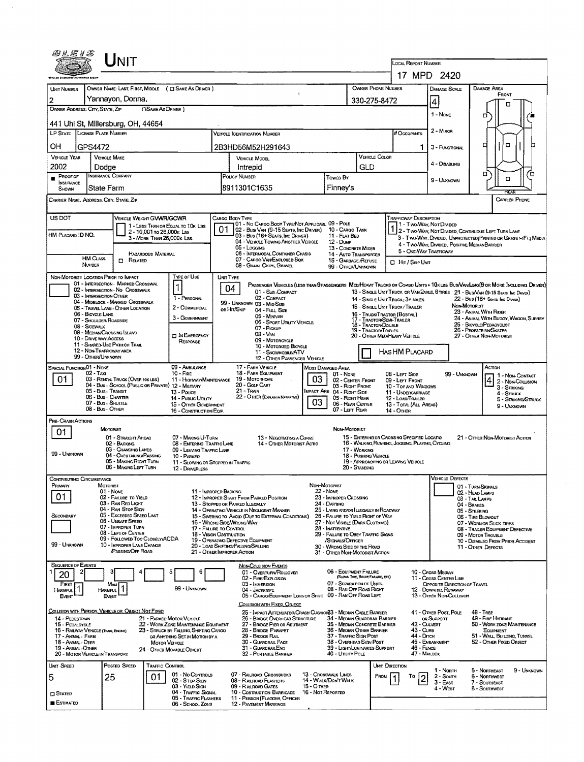| <i>®LE13</i>                                                        |                                                | Unit                                                                  |                                                         |                                                                          |                                                                                 |                                                                                           |                   |                                                               |                                                                                                                   |                                                           |                                                                                                            |                                                             |                                                                                                                              |    |  |  |  |
|---------------------------------------------------------------------|------------------------------------------------|-----------------------------------------------------------------------|---------------------------------------------------------|--------------------------------------------------------------------------|---------------------------------------------------------------------------------|-------------------------------------------------------------------------------------------|-------------------|---------------------------------------------------------------|-------------------------------------------------------------------------------------------------------------------|-----------------------------------------------------------|------------------------------------------------------------------------------------------------------------|-------------------------------------------------------------|------------------------------------------------------------------------------------------------------------------------------|----|--|--|--|
|                                                                     |                                                |                                                                       |                                                         |                                                                          |                                                                                 |                                                                                           |                   |                                                               |                                                                                                                   |                                                           | LOCAL REPORT NUMBER                                                                                        |                                                             |                                                                                                                              |    |  |  |  |
|                                                                     |                                                |                                                                       |                                                         |                                                                          |                                                                                 |                                                                                           |                   |                                                               |                                                                                                                   |                                                           |                                                                                                            | 17 MPD 2420                                                 |                                                                                                                              |    |  |  |  |
| <b>UNIT NUMBER</b>                                                  |                                                |                                                                       |                                                         | OWNER NAME: LAST, FIRST, MIDDLE ( C SAME AS DRIVER )                     |                                                                                 |                                                                                           |                   |                                                               |                                                                                                                   | <b>OWNER PHONE NUMBER</b>                                 |                                                                                                            | <b>DAMAGE SCALE</b>                                         | <b>DAMAGE AREA</b><br>FRONT                                                                                                  |    |  |  |  |
| 2<br>OWNER ADDRESS: CITY, STATE, ZIP                                |                                                | Yannayon, Donna,                                                      | <b>CISAME AS DRIVER</b> )                               |                                                                          |                                                                                 |                                                                                           |                   |                                                               |                                                                                                                   | 330-275-8472                                              |                                                                                                            | 4                                                           | о                                                                                                                            |    |  |  |  |
|                                                                     |                                                |                                                                       |                                                         |                                                                          |                                                                                 |                                                                                           |                   |                                                               |                                                                                                                   |                                                           |                                                                                                            | 1 - NONE                                                    | о                                                                                                                            |    |  |  |  |
| 441 Uhl St, Millersburg, OH, 44654<br>LP STATE LICENSE PLATE NUMBER |                                                |                                                                       |                                                         |                                                                          |                                                                                 | <b>VEHICLE IDENTIFICATION NUMBER</b>                                                      |                   |                                                               |                                                                                                                   |                                                           | # Occupants                                                                                                | 2 - MINOR                                                   |                                                                                                                              |    |  |  |  |
|                                                                     |                                                |                                                                       |                                                         |                                                                          |                                                                                 |                                                                                           |                   |                                                               |                                                                                                                   |                                                           |                                                                                                            |                                                             | $\Box$<br>□                                                                                                                  |    |  |  |  |
| ОH                                                                  | GPS4472<br><b>VEHICLE MAKE</b>                 |                                                                       |                                                         |                                                                          |                                                                                 | 2B3HD56M52H291643                                                                         |                   |                                                               |                                                                                                                   | VEHICLE COLOR                                             | 1.                                                                                                         | 3 - FUNCTIONAL                                              |                                                                                                                              |    |  |  |  |
| <b>VEHICLE YEAR</b><br>2002                                         | Dodge                                          |                                                                       |                                                         |                                                                          |                                                                                 | VEHICLE MODEL<br>Intrepid                                                                 |                   |                                                               | GLD                                                                                                               |                                                           |                                                                                                            | 4 - DISABLING                                               |                                                                                                                              |    |  |  |  |
| $P$ ROOF OF                                                         | <b>INSURANCE COMPANY</b>                       |                                                                       |                                                         |                                                                          |                                                                                 | POLICY NUMBER<br>Towed BY                                                                 |                   |                                                               |                                                                                                                   |                                                           |                                                                                                            |                                                             | о<br>$\Box$                                                                                                                  | Γ0 |  |  |  |
| <b>INSURANCE</b><br>SHOWN                                           | State Farm                                     |                                                                       |                                                         |                                                                          |                                                                                 | 8911301C1635                                                                              |                   | Finney's                                                      |                                                                                                                   |                                                           |                                                                                                            | 9 - UNKNOWN                                                 |                                                                                                                              |    |  |  |  |
| CARRIER NAME, ADDRESS, CITY, STATE, ZIP                             |                                                |                                                                       |                                                         |                                                                          |                                                                                 |                                                                                           |                   |                                                               |                                                                                                                   |                                                           |                                                                                                            |                                                             | REAR<br><b>CARRIER PHONE</b>                                                                                                 |    |  |  |  |
| US DOT                                                              |                                                | VEHICLE WEIGHT GVWR/GCWR                                              |                                                         |                                                                          | CARGO BODY TYPE                                                                 |                                                                                           |                   |                                                               |                                                                                                                   |                                                           |                                                                                                            |                                                             |                                                                                                                              |    |  |  |  |
|                                                                     |                                                |                                                                       |                                                         | 1 - LESS THAN OR EQUAL TO 10K LBS                                        | 01                                                                              | 01 - No CARGO BODY TYPE/NOT APPLICABL 09 - POLE<br>02 - Bus/ Van (9-15 Seats, Inc Driver) |                   | 10 - CARGO TANK                                               |                                                                                                                   |                                                           | Trafficway Description<br>1 - Two-Way, Not Divided<br>1 2- TWO-WAY, NOT DIVIDED, CONTINUOUS LEFT TURN LANE |                                                             |                                                                                                                              |    |  |  |  |
| HM PLACARD ID NO.                                                   |                                                |                                                                       | 2 - 10,001 to 26,000k Las<br>3 - MORE THAN 26,000K LBS. |                                                                          |                                                                                 | 03 - Bus (16+ Seats, Inc Driver)<br>04 - VEHICLE TOWING ANOTHER VEHICLE                   |                   | 11 - FLAT BED<br>12 - Dump                                    |                                                                                                                   |                                                           |                                                                                                            |                                                             | 3 - TWO-WAY, DIVIDED, UNPROTECTED (PAINTED OR GRASS > FT.) MEDIA                                                             |    |  |  |  |
|                                                                     |                                                |                                                                       |                                                         |                                                                          |                                                                                 | 05 - Locana<br>06 - INTERMODAL CONTAINER CHASIS                                           |                   | 13 - CONCRETE MIXER                                           |                                                                                                                   |                                                           |                                                                                                            | 4 - TWO-WAY, DIVIDED. POSITIVE MEDIAN BARRIER               |                                                                                                                              |    |  |  |  |
|                                                                     | HM CLASS<br>NUMBER                             | <b>C</b> RELATED                                                      | HAZARDOUS MATERIAL                                      |                                                                          |                                                                                 | 07 - CARGO VAN ENGLOSED BOX                                                               |                   | 14 - AUTO TRANSPORTER<br>15 - GARBAGE REFUSE                  |                                                                                                                   |                                                           | 5 - ONE-WAY TRAFFICWAY<br>$\Box$ HIT / SKIP UNIT                                                           |                                                             |                                                                                                                              |    |  |  |  |
| NON-MOTORIST LOCATION PRIOR TO IMPACT                               |                                                |                                                                       |                                                         | TYPE OF USE                                                              | UNIT TYPE                                                                       | 08 - GRAIN, CHIPS, GRAVEL                                                                 |                   | 99 - OTHER/UNKNOWN                                            |                                                                                                                   |                                                           |                                                                                                            |                                                             |                                                                                                                              |    |  |  |  |
|                                                                     |                                                | 01 - INTERSECTION - MARKED CROSSWAL                                   |                                                         | 1                                                                        | 04                                                                              |                                                                                           |                   |                                                               |                                                                                                                   |                                                           |                                                                                                            |                                                             | PASSENGER VEHICLES (LESS THAN PPASSENGERS MEDIMEAVY TRUCKS OR COMBD UNITS > 10K LBS BUS/VAM LINO(9 OR MORE INCLUDING DRIVER) |    |  |  |  |
|                                                                     | <b>03 - INTERSECTION OTHER</b>                 | 02 - INTERSECTION - NO CROSSWALK                                      |                                                         | 1 - PERSONAL                                                             |                                                                                 | 01 - Sub-COMPACT<br>02 - COMPACT                                                          |                   |                                                               |                                                                                                                   | 14 - SINGLE UNIT TRUCK: 3+ AXLES                          |                                                                                                            |                                                             | 13 - SINGLE UNIT TRUCK OR VAN 2AXLE, 6 TIRES 21 - BUS/VAN (9-15 SEATS, INC DRIVER)<br>22 - BUS (16+ Seats, Inc Driver)       |    |  |  |  |
|                                                                     |                                                | 04 - MIDBLOCK - MARKED CROSSWALK<br>05 - TRAVEL LANE - OTHER LOCATION |                                                         | 2 - COMMERCIAL                                                           |                                                                                 | 99 - UNKNOWN 03 - MID SIZE<br>or Hit/Skip<br>04 - Futu Size                               |                   |                                                               |                                                                                                                   | 15 - SINGLE UNIT TRUCK / TRAILER                          |                                                                                                            |                                                             | Non-Motorist                                                                                                                 |    |  |  |  |
|                                                                     | 06 - BICYCLE LANE<br>07 - SHOULDER/ROADSIDE    |                                                                       |                                                         | 3 - GOVERNMENT                                                           |                                                                                 | 05 - Minivan<br>06 - Sport Uttury Vehicle                                                 |                   |                                                               |                                                                                                                   | 16 - TRUCK/TRACTOR (BOBTAIL)<br>17 - TRACTOR/SEMI-TRAILER |                                                                                                            |                                                             | 23 - ANIMAL WITH RIDER<br>24 - ANIMAL WITH BUGGY, WAGON, SURREY                                                              |    |  |  |  |
|                                                                     | 08 - SIDEWALK                                  | 09 - MEDIAN CROSSING ISLAND                                           |                                                         |                                                                          | 18 - Tractor/Double<br>07 - Pickup<br><b>19 - TRACTOR/TRIPLES</b><br>$08 - VNN$ |                                                                                           |                   |                                                               |                                                                                                                   |                                                           |                                                                                                            | 25 - BIOYCLE/PEDACYCLIST<br>26 - PEDESTRIAN/SKATER          |                                                                                                                              |    |  |  |  |
|                                                                     | 10 - DRIVE WAY ACCESS                          | 11 - SHARED-USE PATH OR TRAIL                                         |                                                         | <b>IN EMERGENCY</b><br>RESPONSE                                          | 20 - OTHER MED/HEAVY VEHICLE<br>09 - MOTORCYCLE<br>10 - Motorized Bicycle       |                                                                                           |                   |                                                               |                                                                                                                   |                                                           |                                                                                                            |                                                             | 27 - OTHER NON-MOTORIST                                                                                                      |    |  |  |  |
|                                                                     | 12 - NON-TRAFFICWAY AREA<br>99 - OTHER/UNKNOWN |                                                                       |                                                         |                                                                          |                                                                                 | 11 - SNOWMOBILE/ATV                                                                       |                   |                                                               |                                                                                                                   |                                                           | HAS HM PLACARD                                                                                             |                                                             |                                                                                                                              |    |  |  |  |
| SPECIAL FUNCTION 01 - NONE                                          |                                                |                                                                       |                                                         | 09 - AMBULANCE                                                           |                                                                                 | 12 - OTHER PASSENGER VEHICLE<br>17 - FARM VEHICLE                                         |                   | <b>MOST DAMAGED AREA</b>                                      |                                                                                                                   |                                                           |                                                                                                            |                                                             | Астом                                                                                                                        |    |  |  |  |
| 01                                                                  | $02 - TAA$                                     | 03 - RENTAL TRUCK (OVER 10K LBS)                                      |                                                         | $10 -$ Fire<br>11 - Highway/Maintenance                                  |                                                                                 | 18 - FARM EQUIPMENT<br>19 - Мотовноме                                                     | 03                | 01 - None<br>02 - CENTER FRONT                                |                                                                                                                   | 08 - LEFT SIDE                                            | 09 - LEFT FRONT                                                                                            | 99 - Unknown                                                | 1 - NON-CONTACT<br>2 - Non-Couusion                                                                                          |    |  |  |  |
|                                                                     | 05 - Bus - Transit                             | 04 - Bus - SCHOOL (PUBLIC OR PRIVATE) 12 - MILITARY                   |                                                         | 13 - Pouce                                                               |                                                                                 | 20 - GOLF CART<br>21 - TRAIN                                                              |                   | 03 - Right Front<br>IMPACT ARE 04 - RIGHT SIDE                |                                                                                                                   |                                                           | 10 - Top AND WINDOWS<br>11 - UNDERCARRIAGE                                                                 |                                                             | 3 - STRIKING                                                                                                                 |    |  |  |  |
|                                                                     | 06 - Bus - Charter<br>07 - Bus - SHUTTLE       |                                                                       |                                                         | 14 - Pusuc Unury<br>15 - OTHER GOVERNMENT                                |                                                                                 | 22 - OTHER (EXPLAN HARRAYME)                                                              | 03                | 05 - Right Rear<br>06 - REAR CENTER                           |                                                                                                                   |                                                           | 12 - LOAD/TRAILER                                                                                          |                                                             | 4 - STRUCK<br>5 - STRIKING/STRUCK                                                                                            |    |  |  |  |
|                                                                     | 08 - Bus - OTHER                               |                                                                       |                                                         | 16 - CONSTRUCTION EQIP.                                                  |                                                                                 |                                                                                           |                   | 07 - LEFT REAR                                                |                                                                                                                   | 14 - Отнев                                                | 13 - TOTAL (ALL AREAS)                                                                                     |                                                             | 9 - Unknown                                                                                                                  |    |  |  |  |
| PRE-CRASH ACTIONS                                                   |                                                | MOTORIST                                                              |                                                         |                                                                          |                                                                                 |                                                                                           |                   |                                                               |                                                                                                                   |                                                           |                                                                                                            |                                                             |                                                                                                                              |    |  |  |  |
| 01                                                                  |                                                | 01 - STRAIGHT AVEAD                                                   |                                                         | 07 - MAKING U-TURN                                                       |                                                                                 | 13 - NEGOTIATING A CURVE                                                                  |                   | NON-MOTORIST                                                  |                                                                                                                   | 15 - EMTERING OR CROSSING SPECIFIED LOCATIO               |                                                                                                            |                                                             | 21 - OTHER NON-MOTORIST ACTION                                                                                               |    |  |  |  |
|                                                                     |                                                | 02 - Backing<br>03 - CHANGING LANES                                   |                                                         | 08 - EMTERING TRAFFICLANE<br>09 - LEAVING TRAFFIC LANE                   |                                                                                 | 14 - OTHER MOTORIST ACTIO                                                                 |                   |                                                               | 17 - WORKING                                                                                                      | 16 - WALKING, RUNNING, JOGGING, PLAYING, CYCLING          |                                                                                                            |                                                             |                                                                                                                              |    |  |  |  |
| 99 - Unknown                                                        |                                                | 04 - OVERTAKING/PASSING<br>05 - MAXING RIGHT TURN                     |                                                         | 10 - PARKED<br>11 - SLOWING OR STOPPED IN TRAFFIC                        |                                                                                 |                                                                                           |                   |                                                               | 18 - PUSHING VEHICLE                                                                                              | 19 - APPROACHING OR LEAVING VEHICLE                       |                                                                                                            |                                                             |                                                                                                                              |    |  |  |  |
|                                                                     |                                                | 06 - MAXING LEFT TURN                                                 |                                                         | 12 - DRIVERLESS                                                          |                                                                                 |                                                                                           |                   |                                                               | 20 - STANDING                                                                                                     |                                                           |                                                                                                            |                                                             |                                                                                                                              |    |  |  |  |
| <b>CONTRIBUTING CIRCUMSTANCE</b><br>Primary                         | MOTORIST                                       |                                                                       |                                                         |                                                                          |                                                                                 |                                                                                           |                   | NON-MOTORIST                                                  |                                                                                                                   |                                                           |                                                                                                            | <b>VEHICLE DEFECTS</b>                                      | 01 - TURN SIGNALS                                                                                                            |    |  |  |  |
| 01                                                                  |                                                | 01 - None<br>02 - FAILURE TO YIELD                                    |                                                         |                                                                          | 11 - IMPROPER BACKING                                                           | 12 - IMPROPER START FROM PARKED POSITION                                                  |                   | $22 - None$<br>23 - IMPROPER CROSSING                         |                                                                                                                   |                                                           |                                                                                                            |                                                             | 02 - Head Lamps<br>03 - TAIL LAMPS                                                                                           |    |  |  |  |
|                                                                     |                                                | 03 - Ray Rep Light<br>04 - RAN STOP SIGN                              |                                                         |                                                                          |                                                                                 | 13 - Stopped or Parked Illegally<br>14 - OPERATING VEHICLE IN NEGLIGENT MANNER            |                   | 24 - DARTING<br>25 - LYING AND/OR LLEGALLY IN ROADWAY         |                                                                                                                   |                                                           |                                                                                                            |                                                             | 04 - BRAKES                                                                                                                  |    |  |  |  |
| Secondary                                                           |                                                | 05 - Excrepeo Spero Liver<br>06 - UNSAFE SPEED                        |                                                         |                                                                          |                                                                                 | 15 - Swering to Avoid (Due to External Conditions)                                        |                   | 26 - FALURE TO YIELD RIGHT OF WAY                             |                                                                                                                   |                                                           |                                                                                                            |                                                             | 05 - STEERING<br>06 - TIRE BLOWOUT                                                                                           |    |  |  |  |
|                                                                     |                                                | 07 - IMPROPER TURN<br>08 - LEFT OF CENTER                             |                                                         |                                                                          | 17 - FALURE TO CONTROL                                                          | 16 - Wrong Side/Wrong Way                                                                 |                   | 27 - Not Visible (Dark Clothong)<br>28 - INATTENTIVE          |                                                                                                                   |                                                           |                                                                                                            | 07 - WORN OR SUCK TIRES<br>08 - TRAILER EQUIPMENT DEFECTIVE |                                                                                                                              |    |  |  |  |
| 99 - UNKNOWN                                                        |                                                | 09 - FOLLOWED TOO CLOSELY/ACDA<br>10 - IMPROPER LANE CHANGE           |                                                         |                                                                          | 18 - VISION OBSTRUCTION                                                         | 19 - OPERATING DEFECTIVE EQUIPMENT                                                        |                   |                                                               | 29 - FAILURE TO OBEY TRAFFIC SIGNS<br>09 - MOTOR TROUBLE<br>/SIGNALS/OFFICER<br>10 - DISABLED FROM PRIOR ACCIDENT |                                                           |                                                                                                            |                                                             |                                                                                                                              |    |  |  |  |
|                                                                     |                                                | PASSING OFF ROAD                                                      |                                                         |                                                                          |                                                                                 | 20 - LOAD SHIFTING/FALLING/SPILLING<br>21 - OTHER IMPROPER ACTION                         |                   | 30 - WRONG SIDE OF THE ROAD<br>31 - OTHER NON-MOTORIST ACTION |                                                                                                                   |                                                           |                                                                                                            |                                                             | 11 - OTHER DEFECTS                                                                                                           |    |  |  |  |
| <b>SEQUENCE OF EVENTS</b>                                           |                                                |                                                                       |                                                         |                                                                          |                                                                                 | <b>NON-COLUSION EVENTS</b>                                                                |                   |                                                               |                                                                                                                   |                                                           |                                                                                                            |                                                             |                                                                                                                              |    |  |  |  |
| 20                                                                  |                                                | з                                                                     |                                                         | 5<br>6                                                                   |                                                                                 | 01 - OVERTURN/ROLLOVER<br>02 - FIRE/EXPLOSION                                             |                   | 06 - EOUTPMENT FAILURE                                        | (BLOWN TIRE, BRAKE FAILURE, ETC)                                                                                  |                                                           |                                                                                                            | 10 - Cross MEDIAN<br>11 - CROSS CENTER LINE                 |                                                                                                                              |    |  |  |  |
| FIRST<br>HARMFUL<br>-1                                              | HARMFUL                                        | Most<br>1                                                             |                                                         | 99 - UNKNOWN                                                             |                                                                                 | 03 - IMMERSION<br>04 - Jackknife                                                          |                   | 07 - SEPARATION OF UNITS<br>08 - RAN OFF ROAD RIGHT           |                                                                                                                   |                                                           |                                                                                                            | OPPOSITE DIRECTION OF TRAVEL<br>12 - DOWNHILL RUNAWAY       |                                                                                                                              |    |  |  |  |
| EVENT                                                               | EVENT                                          |                                                                       |                                                         |                                                                          |                                                                                 | 05 - CARGO/EQUIPMENT LOSS OR SHIFT 09 - RAN OFF ROAD LEFT<br>COLLISION WITH FIXED, OBJECT |                   |                                                               |                                                                                                                   |                                                           |                                                                                                            | 13 - OTHER NON-COLLISION                                    |                                                                                                                              |    |  |  |  |
| COLLISION WITH PERSON, VEHICLE OR OBJECT NOT FIXED                  |                                                |                                                                       |                                                         |                                                                          |                                                                                 | 25 - IMPACT ATTENUATOR/CRASH CUSHION33 - MEDIAN CABLE BARRIER                             |                   |                                                               |                                                                                                                   |                                                           |                                                                                                            | 41 - OTHER POST, POLE                                       | <b>48 - TREE</b>                                                                                                             |    |  |  |  |
| 14 - PEDESTRIAN<br>15 - PEDALCYCLE                                  |                                                |                                                                       |                                                         | 21 - PARKED MOTOR VEHICLE<br>22 - WORK ZONE MAINTENANCE EQUIPMENT        |                                                                                 | 26 - BRIDGE OVERHEAD STRUCTURE<br>27 - BRIDGE PIER OR ABUTMENT                            |                   | 34 - MEDIAN GUARDRAIL BARRIER<br>35 - MEDIAN CONCRETE BARRIER |                                                                                                                   |                                                           | 42 - CULVERT                                                                                               | OR SUPPORT                                                  | 49 - FIRE HYDRANT<br>50 - WORK ZONE MAINTENANCE                                                                              |    |  |  |  |
| 16 - RAILWAY VEHICLE (TRAIN, ENGINE)<br>17 - Animal - Farm          |                                                |                                                                       |                                                         | 23 - STRUCK BY FALLING, SHIFTING CARGO<br>OR ANYTHING SET IN MOTION BY A |                                                                                 | 28 - Bridge Parapet<br>29 - Brode Ral                                                     |                   | 36 - MEDIAN OTHER BARRIER<br>37 - TRAFFIC SIGN POST           |                                                                                                                   |                                                           | 43 - CURB<br>44 - Олтсн                                                                                    |                                                             | EQUIPMENT<br>51 - WALL, BUILDING, TUNNEL                                                                                     |    |  |  |  |
| 18 - ANIMAL - DEER<br>19 - ANIMAL-OTHER                             |                                                |                                                                       | Мотов VEHICLE                                           | 24 - OTHER MOVABLE OBJECT                                                |                                                                                 | 30 - GUARDRAIL FACE<br>31 - GUARDRAILEND                                                  |                   | 38 - Overhead Sign Post<br>39 - Light/Luminaries Support      |                                                                                                                   |                                                           | 46 - FENCE                                                                                                 | 45 - EMBANKMENT                                             | 52 - Other Fixed Object                                                                                                      |    |  |  |  |
| 20 - MOTOR VEHICLE IN TRANSPORT                                     |                                                |                                                                       |                                                         |                                                                          |                                                                                 | 32 - PORTABLE BARRIER                                                                     |                   | 40 - Utility Pole                                             |                                                                                                                   |                                                           | 47 - MAILBOX                                                                                               |                                                             |                                                                                                                              |    |  |  |  |
| UNIT SPEED                                                          |                                                | POSTED SPEED                                                          | TRAFFIC CONTROL                                         | 01 - No CONTROLS                                                         |                                                                                 | 07 - RAILROAD CROSSBUCKS                                                                  |                   | 13 - CROSSWALK LINES                                          |                                                                                                                   | UNIT DIRECTION                                            |                                                                                                            | 1 - North                                                   | 9 - UNKNOWN<br>5 - Normeast                                                                                                  |    |  |  |  |
| 5                                                                   | 25                                             |                                                                       | 01                                                      | 02 - Stor Sign<br>03 - YIELD SIGN                                        |                                                                                 | 08 - RAILROAD FLASHERS                                                                    | 15 - O THER       | 14 - WALK/DONT WALK                                           |                                                                                                                   | <b>FROM</b>                                               | To<br>2                                                                                                    | $2 -$ Soum<br>$3 - E$ AST                                   | 6 - Northwest<br>7 - SOUTHEAST                                                                                               |    |  |  |  |
| <b>CI STATED</b>                                                    |                                                |                                                                       |                                                         | 04 - TRAFFIC SIGNAL                                                      |                                                                                 | 09 - RALROAD GATES<br>10 - Costruçtion Barricade                                          | 16 - Not Reported |                                                               |                                                                                                                   |                                                           |                                                                                                            | 4 - West                                                    | 8 - Southwest                                                                                                                |    |  |  |  |
| <b>ESTIMATED</b>                                                    |                                                |                                                                       |                                                         | 05 - TRAFFIC FLASHERS<br>06 - SCHOOL ZONE                                |                                                                                 | 11 - PERSON (FLAGGER, OFFICER<br><b>12 - PAVEMENT MARKINGS</b>                            |                   |                                                               |                                                                                                                   |                                                           |                                                                                                            |                                                             |                                                                                                                              |    |  |  |  |